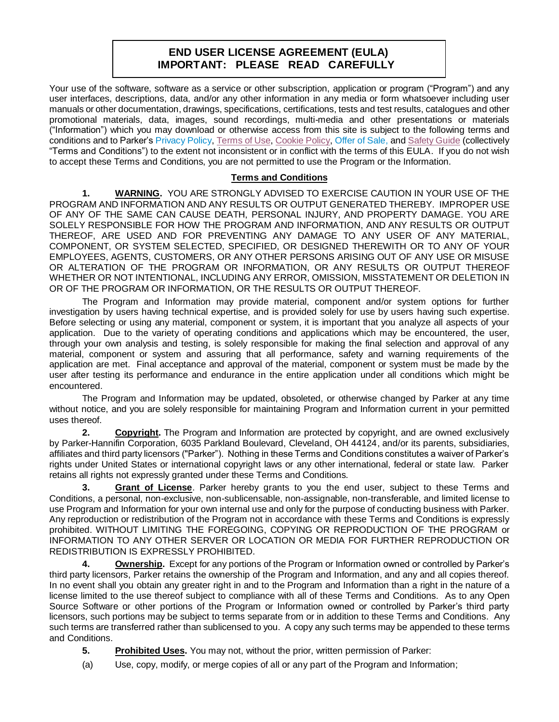## **END USER LICENSE AGREEMENT (EULA) IMPORTANT: PLEASE READ CAREFULLY**

Your use of the software, software as a service or other subscription, application or program ("Program") and any user interfaces, descriptions, data, and/or any other information in any media or form whatsoever including user manuals or other documentation, drawings, specifications, certifications, tests and test results, catalogues and other promotional materials, data, images, sound recordings, multi-media and other presentations or materials ("Information") which you may download or otherwise access from this site is subject to the following terms and conditions and to Parker's [Privacy Policy,](http://www.parker.com/portal/site/PARKER/menuitem.4450f18f18c082cdfd40eae8237ad1ca/?vgnextoid=760b904cf58b2110VgnVCM100000c9040d0aRCRD&vgnextfmt=default) [Terms of Use,](http://www.parker.com/portal/site/PARKER/menuitem.4450f18f18c082cdfd40eae8237ad1ca/?vgnextoid=eef903d2d7b6d410VgnVCM100000200c1dacRCRD) [Cookie Policy,](http://www.parker.com/portal/site/PARKER/menuitem.4450f18f18c082cdfd40eae8237ad1ca/?vgnextoid=3ef903d2d7b6d410VgnVCM100000200c1dacRCRD&vgnextfmt=EN) [Offer of Sale,](http://www.parker.com/portal/site/PARKER/menuitem.ab2358db22b75d08265ba8c5427ad1ca/?vgnextoid=2b4955b4d8876310VgnVCM10000014a71dacRCRD&vgnextfmt=default) an[d Safety Guide](http://www.parker.com/portal/site/PARKER/menuitem.c9e55a6ea039d4fdfd40eae8237ad1ca/?vgnextoid=f65d904cf58b2110VgnVCM100000c9040d0aRCRD&vgnextfmt=default) (collectively "Terms and Conditions") to the extent not inconsistent or in conflict with the terms of this EULA. If you do not wish to accept these Terms and Conditions, you are not permitted to use the Program or the Information.

## **Terms and Conditions**

**1. WARNING.** YOU ARE STRONGLY ADVISED TO EXERCISE CAUTION IN YOUR USE OF THE PROGRAM AND INFORMATION AND ANY RESULTS OR OUTPUT GENERATED THEREBY. IMPROPER USE OF ANY OF THE SAME CAN CAUSE DEATH, PERSONAL INJURY, AND PROPERTY DAMAGE. YOU ARE SOLELY RESPONSIBLE FOR HOW THE PROGRAM AND INFORMATION, AND ANY RESULTS OR OUTPUT THEREOF, ARE USED AND FOR PREVENTING ANY DAMAGE TO ANY USER OF ANY MATERIAL, COMPONENT, OR SYSTEM SELECTED, SPECIFIED, OR DESIGNED THEREWITH OR TO ANY OF YOUR EMPLOYEES, AGENTS, CUSTOMERS, OR ANY OTHER PERSONS ARISING OUT OF ANY USE OR MISUSE OR ALTERATION OF THE PROGRAM OR INFORMATION, OR ANY RESULTS OR OUTPUT THEREOF WHETHER OR NOT INTENTIONAL, INCLUDING ANY ERROR, OMISSION, MISSTATEMENT OR DELETION IN OR OF THE PROGRAM OR INFORMATION, OR THE RESULTS OR OUTPUT THEREOF.

The Program and Information may provide material, component and/or system options for further investigation by users having technical expertise, and is provided solely for use by users having such expertise. Before selecting or using any material, component or system, it is important that you analyze all aspects of your application. Due to the variety of operating conditions and applications which may be encountered, the user, through your own analysis and testing, is solely responsible for making the final selection and approval of any material, component or system and assuring that all performance, safety and warning requirements of the application are met. Final acceptance and approval of the material, component or system must be made by the user after testing its performance and endurance in the entire application under all conditions which might be encountered.

The Program and Information may be updated, obsoleted, or otherwise changed by Parker at any time without notice, and you are solely responsible for maintaining Program and Information current in your permitted uses thereof.

**2. Copyright.** The Program and Information are protected by copyright, and are owned exclusively by Parker-Hannifin Corporation, 6035 Parkland Boulevard, Cleveland, OH 44124, and/or its parents, subsidiaries, affiliates and third party licensors ("Parker"). Nothing in these Terms and Conditions constitutes a waiver of Parker's rights under United States or international copyright laws or any other international, federal or state law. Parker retains all rights not expressly granted under these Terms and Conditions.

**3. Grant of License**. Parker hereby grants to you the end user, subject to these Terms and Conditions, a personal, non-exclusive, non-sublicensable, non-assignable, non-transferable, and limited license to use Program and Information for your own internal use and only for the purpose of conducting business with Parker. Any reproduction or redistribution of the Program not in accordance with these Terms and Conditions is expressly prohibited. WITHOUT LIMITING THE FOREGOING, COPYING OR REPRODUCTION OF THE PROGRAM or INFORMATION TO ANY OTHER SERVER OR LOCATION OR MEDIA FOR FURTHER REPRODUCTION OR REDISTRIBUTION IS EXPRESSLY PROHIBITED.

**4. Ownership.** Except for any portions of the Program or Information owned or controlled by Parker's third party licensors, Parker retains the ownership of the Program and Information, and any and all copies thereof. In no event shall you obtain any greater right in and to the Program and Information than a right in the nature of a license limited to the use thereof subject to compliance with all of these Terms and Conditions. As to any Open Source Software or other portions of the Program or Information owned or controlled by Parker's third party licensors, such portions may be subject to terms separate from or in addition to these Terms and Conditions. Any such terms are transferred rather than sublicensed to you. A copy any such terms may be appended to these terms and Conditions.

**5. Prohibited Uses.** You may not, without the prior, written permission of Parker:

(a) Use, copy, modify, or merge copies of all or any part of the Program and Information;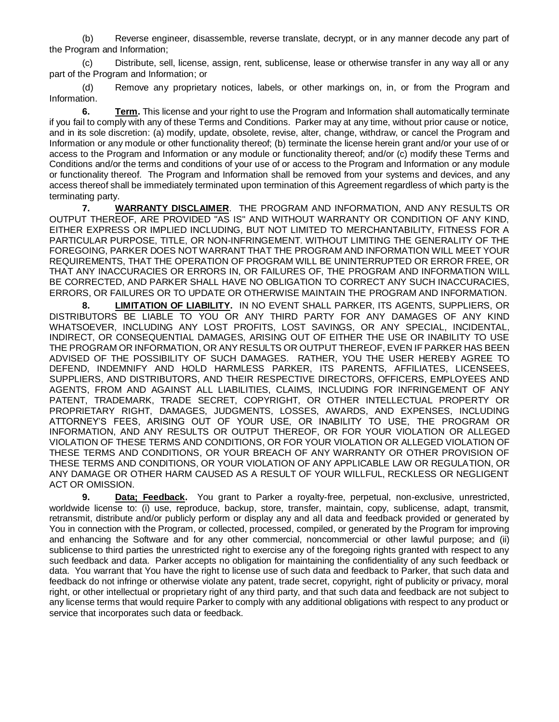(b) Reverse engineer, disassemble, reverse translate, decrypt, or in any manner decode any part of the Program and Information;

(c) Distribute, sell, license, assign, rent, sublicense, lease or otherwise transfer in any way all or any part of the Program and Information; or

(d) Remove any proprietary notices, labels, or other markings on, in, or from the Program and Information.

**6. Term.** This license and your right to use the Program and Information shall automatically terminate if you fail to comply with any of these Terms and Conditions. Parker may at any time, without prior cause or notice, and in its sole discretion: (a) modify, update, obsolete, revise, alter, change, withdraw, or cancel the Program and Information or any module or other functionality thereof; (b) terminate the license herein grant and/or your use of or access to the Program and Information or any module or functionality thereof; and/or (c) modify these Terms and Conditions and/or the terms and conditions of your use of or access to the Program and Information or any module or functionality thereof. The Program and Information shall be removed from your systems and devices, and any access thereof shall be immediately terminated upon termination of this Agreement regardless of which party is the terminating party.

**7. WARRANTY DISCLAIMER**. THE PROGRAM AND INFORMATION, AND ANY RESULTS OR OUTPUT THEREOF, ARE PROVIDED "AS IS" AND WITHOUT WARRANTY OR CONDITION OF ANY KIND, EITHER EXPRESS OR IMPLIED INCLUDING, BUT NOT LIMITED TO MERCHANTABILITY, FITNESS FOR A PARTICULAR PURPOSE, TITLE, OR NON-INFRINGEMENT. WITHOUT LIMITING THE GENERALITY OF THE FOREGOING, PARKER DOES NOT WARRANT THAT THE PROGRAM AND INFORMATION WILL MEET YOUR REQUIREMENTS, THAT THE OPERATION OF PROGRAM WILL BE UNINTERRUPTED OR ERROR FREE, OR THAT ANY INACCURACIES OR ERRORS IN, OR FAILURES OF, THE PROGRAM AND INFORMATION WILL BE CORRECTED, AND PARKER SHALL HAVE NO OBLIGATION TO CORRECT ANY SUCH INACCURACIES, ERRORS, OR FAILURES OR TO UPDATE OR OTHERWISE MAINTAIN THE PROGRAM AND INFORMATION.

**8. LIMITATION OF LIABILITY.** IN NO EVENT SHALL PARKER, ITS AGENTS, SUPPLIERS, OR DISTRIBUTORS BE LIABLE TO YOU OR ANY THIRD PARTY FOR ANY DAMAGES OF ANY KIND WHATSOEVER, INCLUDING ANY LOST PROFITS, LOST SAVINGS, OR ANY SPECIAL, INCIDENTAL, INDIRECT, OR CONSEQUENTIAL DAMAGES, ARISING OUT OF EITHER THE USE OR INABILITY TO USE THE PROGRAM OR INFORMATION, OR ANY RESULTS OR OUTPUT THEREOF, EVEN IF PARKER HAS BEEN ADVISED OF THE POSSIBILITY OF SUCH DAMAGES. RATHER, YOU THE USER HEREBY AGREE TO DEFEND, INDEMNIFY AND HOLD HARMLESS PARKER, ITS PARENTS, AFFILIATES, LICENSEES, SUPPLIERS, AND DISTRIBUTORS, AND THEIR RESPECTIVE DIRECTORS, OFFICERS, EMPLOYEES AND AGENTS, FROM AND AGAINST ALL LIABILITIES, CLAIMS, INCLUDING FOR INFRINGEMENT OF ANY PATENT, TRADEMARK, TRADE SECRET, COPYRIGHT, OR OTHER INTELLECTUAL PROPERTY OR PROPRIETARY RIGHT, DAMAGES, JUDGMENTS, LOSSES, AWARDS, AND EXPENSES, INCLUDING ATTORNEY'S FEES, ARISING OUT OF YOUR USE, OR INABILITY TO USE, THE PROGRAM OR INFORMATION, AND ANY RESULTS OR OUTPUT THEREOF, OR FOR YOUR VIOLATION OR ALLEGED VIOLATION OF THESE TERMS AND CONDITIONS, OR FOR YOUR VIOLATION OR ALLEGED VIOLATION OF THESE TERMS AND CONDITIONS, OR YOUR BREACH OF ANY WARRANTY OR OTHER PROVISION OF THESE TERMS AND CONDITIONS, OR YOUR VIOLATION OF ANY APPLICABLE LAW OR REGULATION, OR ANY DAMAGE OR OTHER HARM CAUSED AS A RESULT OF YOUR WILLFUL, RECKLESS OR NEGLIGENT ACT OR OMISSION.

**9. Data; Feedback.** You grant to Parker a royalty-free, perpetual, non-exclusive, unrestricted, worldwide license to: (i) use, reproduce, backup, store, transfer, maintain, copy, sublicense, adapt, transmit, retransmit, distribute and/or publicly perform or display any and all data and feedback provided or generated by You in connection with the Program, or collected, processed, compiled, or generated by the Program for improving and enhancing the Software and for any other commercial, noncommercial or other lawful purpose; and (ii) sublicense to third parties the unrestricted right to exercise any of the foregoing rights granted with respect to any such feedback and data. Parker accepts no obligation for maintaining the confidentiality of any such feedback or data. You warrant that You have the right to license use of such data and feedback to Parker, that such data and feedback do not infringe or otherwise violate any patent, trade secret, copyright, right of publicity or privacy, moral right, or other intellectual or proprietary right of any third party, and that such data and feedback are not subject to any license terms that would require Parker to comply with any additional obligations with respect to any product or service that incorporates such data or feedback.